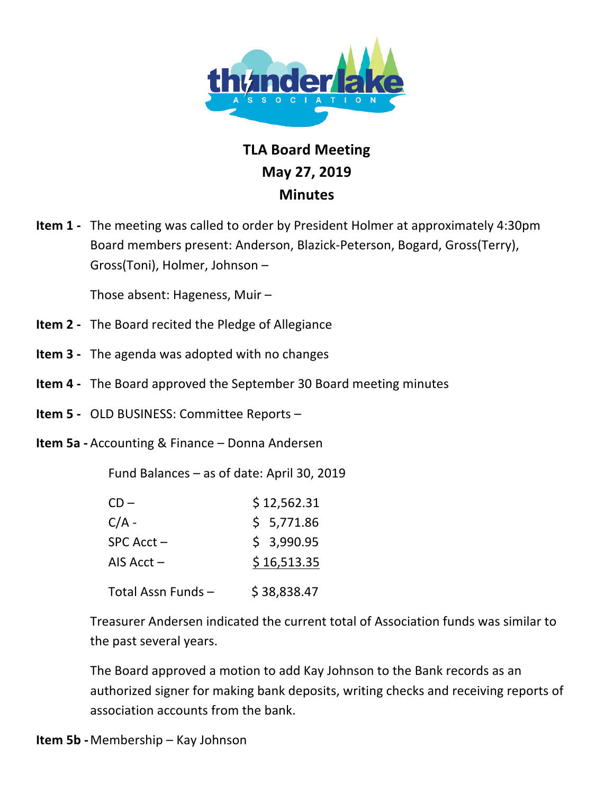

## **TLA!Board!Meeting** May 27, 2019 **Minutes**

**Item 1** - The meeting was called to order by President Holmer at approximately 4:30pm Board members present: Anderson, Blazick-Peterson, Bogard, Gross(Terry), Gross(Toni), Holmer, Johnson –

Those absent: Hageness, Muir –

- **Item 2** The Board recited the Pledge of Allegiance
- **Item 3** The agenda was adopted with no changes
- **Item 4 •** The Board approved the September 30 Board meeting minutes
- **Item 5** OLD BUSINESS: Committee Reports –
- **Item 5a** Accounting & Finance Donna Andersen

Fund Balances – as of date: April 30, 2019

| $CD -$             | \$12,562.31 |
|--------------------|-------------|
| $C/A -$            | \$5,771.86  |
| $SPC$ Acct $-$     | \$3,990.95  |
| AIS $Acct -$       | \$16,513.35 |
| Total Assn Funds – | \$38.838.47 |

Treasurer Andersen indicated the current total of Association funds was similar to the past several years.

The Board approved a motion to add Kay Johnson to the Bank records as an authorized signer for making bank deposits, writing checks and receiving reports of association accounts from the bank.

**Item 5b** - Membership – Kay Johnson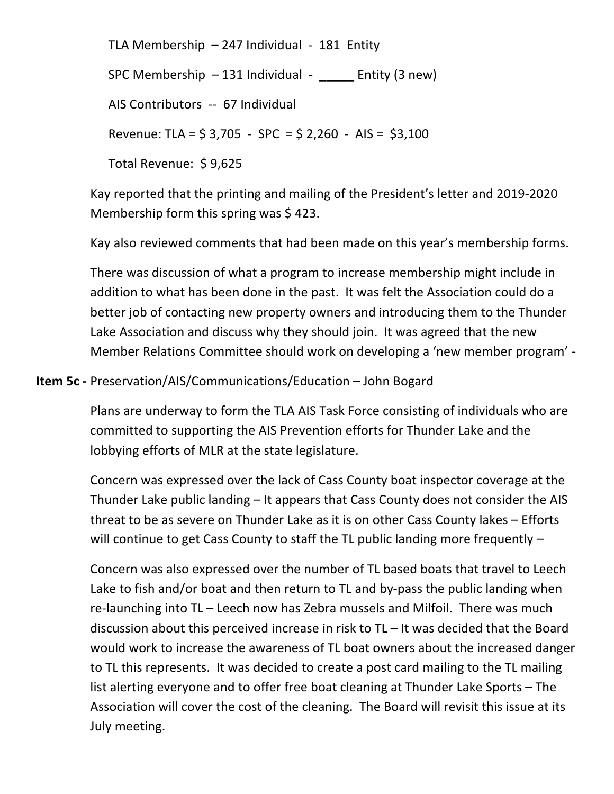TLA Membership  $-$  247 Individual - 181 Entity

SPC Membership  $- 131$  Individual  $-$  Entity (3 new)

AIS Contributors -- 67 Individual

Revenue: TLA =  $$3,705 - SPC = $2,260 - AIS = $3,100$ 

Total Revenue: \$9,625

Kay reported that the printing and mailing of the President's letter and 2019-2020 Membership form this spring was  $$423.$ 

Kay also reviewed comments that had been made on this year's membership forms.

There was discussion of what a program to increase membership might include in addition to what has been done in the past. It was felt the Association could do a better job of contacting new property owners and introducing them to the Thunder Lake Association and discuss why they should join. It was agreed that the new Member Relations Committee should work on developing a 'new member program' -

## **Item 5c** - Preservation/AIS/Communications/Education – John Bogard

Plans are underway to form the TLA AIS Task Force consisting of individuals who are committed to supporting the AIS Prevention efforts for Thunder Lake and the lobbying efforts of MLR at the state legislature.

Concern was expressed over the lack of Cass County boat inspector coverage at the Thunder Lake public landing – It appears that Cass County does not consider the AIS threat to be as severe on Thunder Lake as it is on other Cass County lakes – Efforts will continue to get Cass County to staff the TL public landing more frequently  $-$ 

Concern was also expressed over the number of TL based boats that travel to Leech Lake to fish and/or boat and then return to TL and by-pass the public landing when re-launching into TL – Leech now has Zebra mussels and Milfoil. There was much discussion about this perceived increase in risk to TL – It was decided that the Board would work to increase the awareness of TL boat owners about the increased danger to TL this represents. It was decided to create a post card mailing to the TL mailing list alerting everyone and to offer free boat cleaning at Thunder Lake Sports – The Association will cover the cost of the cleaning. The Board will revisit this issue at its July meeting.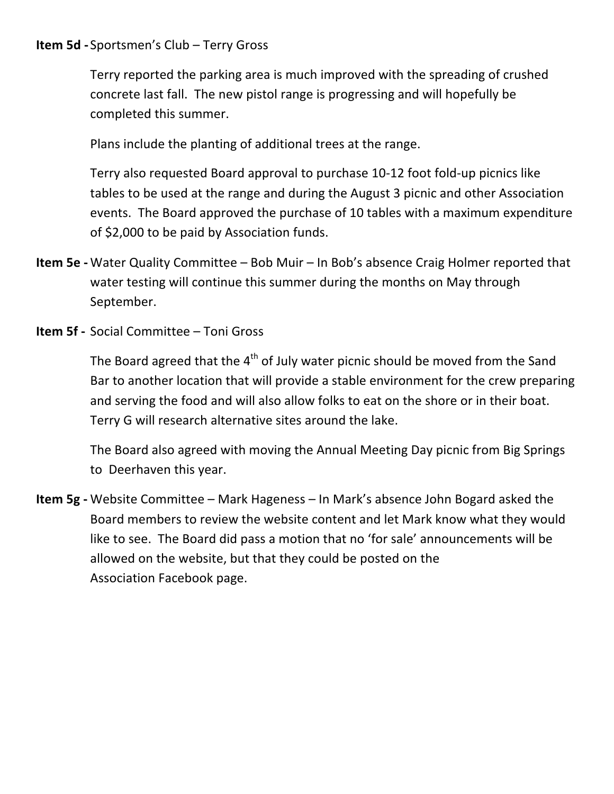## **Item 5d** - Sportsmen's Club – Terry Gross

Terry reported the parking area is much improved with the spreading of crushed concrete last fall. The new pistol range is progressing and will hopefully be completed this summer.

Plans include the planting of additional trees at the range.

Terry also requested Board approval to purchase 10-12 foot fold-up picnics like tables to be used at the range and during the August 3 picnic and other Association events. The Board approved the purchase of 10 tables with a maximum expenditure of  $$2,000$  to be paid by Association funds.

- **Item 5e** Water Quality Committee Bob Muir In Bob's absence Craig Holmer reported that water testing will continue this summer during the months on May through September.
- **Item 5f** Social Committee Toni Gross

The Board agreed that the  $4<sup>th</sup>$  of July water picnic should be moved from the Sand Bar to another location that will provide a stable environment for the crew preparing and serving the food and will also allow folks to eat on the shore or in their boat. Terry G will research alternative sites around the lake.

The Board also agreed with moving the Annual Meeting Day picnic from Big Springs to Deerhaven this year.

**Item 5g** - Website Committee – Mark Hageness – In Mark's absence John Bogard asked the Board members to review the website content and let Mark know what they would like to see. The Board did pass a motion that no 'for sale' announcements will be allowed on the website, but that they could be posted on the Association Facebook page.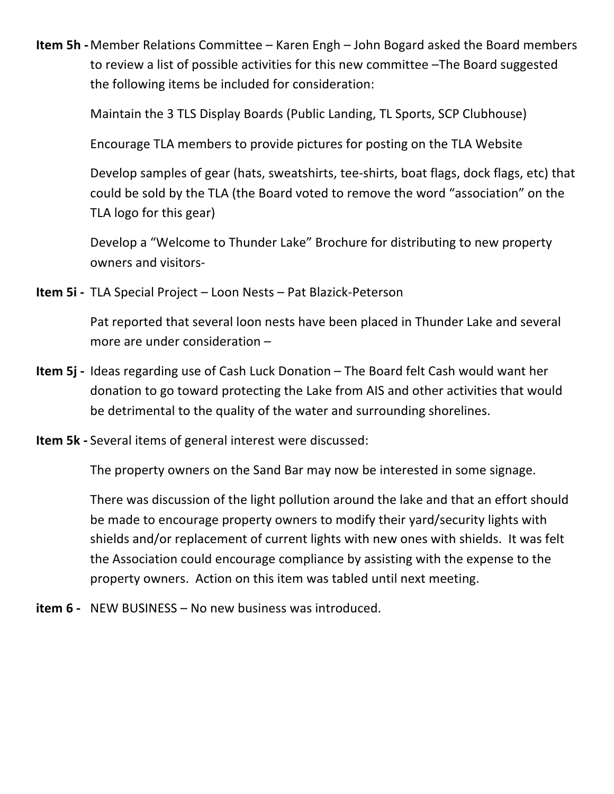**Item 5h** - Member Relations Committee  $-$  Karen Engh  $-$  John Bogard asked the Board members to review a list of possible activities for this new committee -The Board suggested the following items be included for consideration:

Maintain the 3 TLS Display Boards (Public Landing, TL Sports, SCP Clubhouse)

Encourage TLA members to provide pictures for posting on the TLA Website

Develop samples of gear (hats, sweatshirts, tee-shirts, boat flags, dock flags, etc) that could be sold by the TLA (the Board voted to remove the word "association" on the TLA logo for this gear)

Develop a "Welcome to Thunder Lake" Brochure for distributing to new property owners and visitors-

Item 5i - TLA Special Project - Loon Nests - Pat Blazick-Peterson

Pat reported that several loon nests have been placed in Thunder Lake and several more are under consideration -

- Item 5j Ideas regarding use of Cash Luck Donation The Board felt Cash would want her donation to go toward protecting the Lake from AIS and other activities that would be detrimental to the quality of the water and surrounding shorelines.
- **Item 5k** Several items of general interest were discussed:

The property owners on the Sand Bar may now be interested in some signage.

There was discussion of the light pollution around the lake and that an effort should be made to encourage property owners to modify their yard/security lights with shields and/or replacement of current lights with new ones with shields. It was felt the Association could encourage compliance by assisting with the expense to the property owners. Action on this item was tabled until next meeting.

**item 6 -** NEW BUSINESS – No new business was introduced.